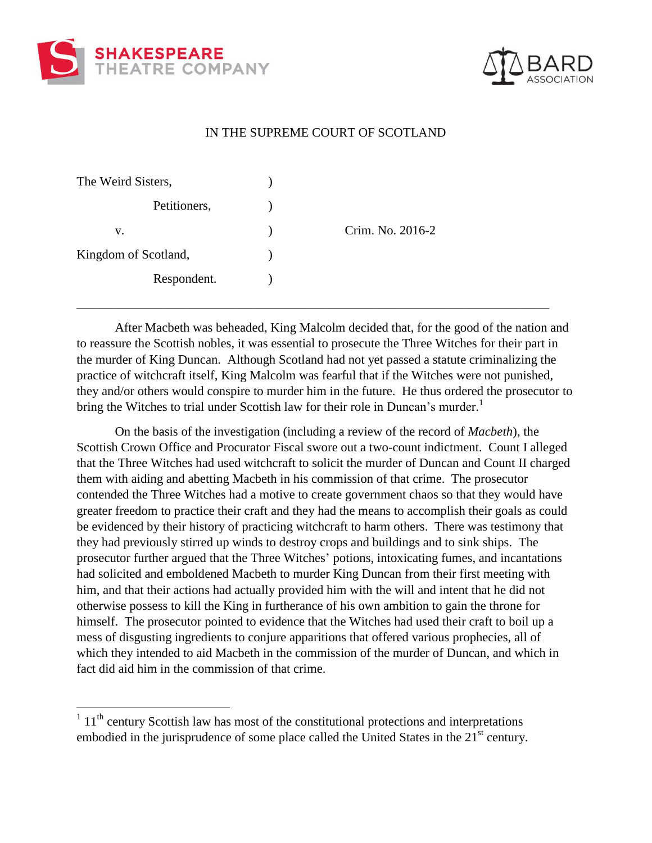

 $\overline{a}$ 



## IN THE SUPREME COURT OF SCOTLAND

| The Weird Sisters,   |                  |
|----------------------|------------------|
| Petitioners,         |                  |
| V.                   | Crim. No. 2016-2 |
| Kingdom of Scotland, |                  |
| Respondent.          |                  |

After Macbeth was beheaded, King Malcolm decided that, for the good of the nation and to reassure the Scottish nobles, it was essential to prosecute the Three Witches for their part in the murder of King Duncan. Although Scotland had not yet passed a statute criminalizing the practice of witchcraft itself, King Malcolm was fearful that if the Witches were not punished, they and/or others would conspire to murder him in the future. He thus ordered the prosecutor to bring the Witches to trial under Scottish law for their role in Duncan's murder.<sup>1</sup>

\_\_\_\_\_\_\_\_\_\_\_\_\_\_\_\_\_\_\_\_\_\_\_\_\_\_\_\_\_\_\_\_\_\_\_\_\_\_\_\_\_\_\_\_\_\_\_\_\_\_\_\_\_\_\_\_\_\_\_\_\_\_\_\_\_\_\_\_\_\_\_\_\_\_

On the basis of the investigation (including a review of the record of *Macbeth*), the Scottish Crown Office and Procurator Fiscal swore out a two-count indictment. Count I alleged that the Three Witches had used witchcraft to solicit the murder of Duncan and Count II charged them with aiding and abetting Macbeth in his commission of that crime. The prosecutor contended the Three Witches had a motive to create government chaos so that they would have greater freedom to practice their craft and they had the means to accomplish their goals as could be evidenced by their history of practicing witchcraft to harm others. There was testimony that they had previously stirred up winds to destroy crops and buildings and to sink ships. The prosecutor further argued that the Three Witches' potions, intoxicating fumes, and incantations had solicited and emboldened Macbeth to murder King Duncan from their first meeting with him, and that their actions had actually provided him with the will and intent that he did not otherwise possess to kill the King in furtherance of his own ambition to gain the throne for himself. The prosecutor pointed to evidence that the Witches had used their craft to boil up a mess of disgusting ingredients to conjure apparitions that offered various prophecies, all of which they intended to aid Macbeth in the commission of the murder of Duncan, and which in fact did aid him in the commission of that crime.

 $111<sup>th</sup>$  century Scottish law has most of the constitutional protections and interpretations embodied in the jurisprudence of some place called the United States in the 21<sup>st</sup> century.